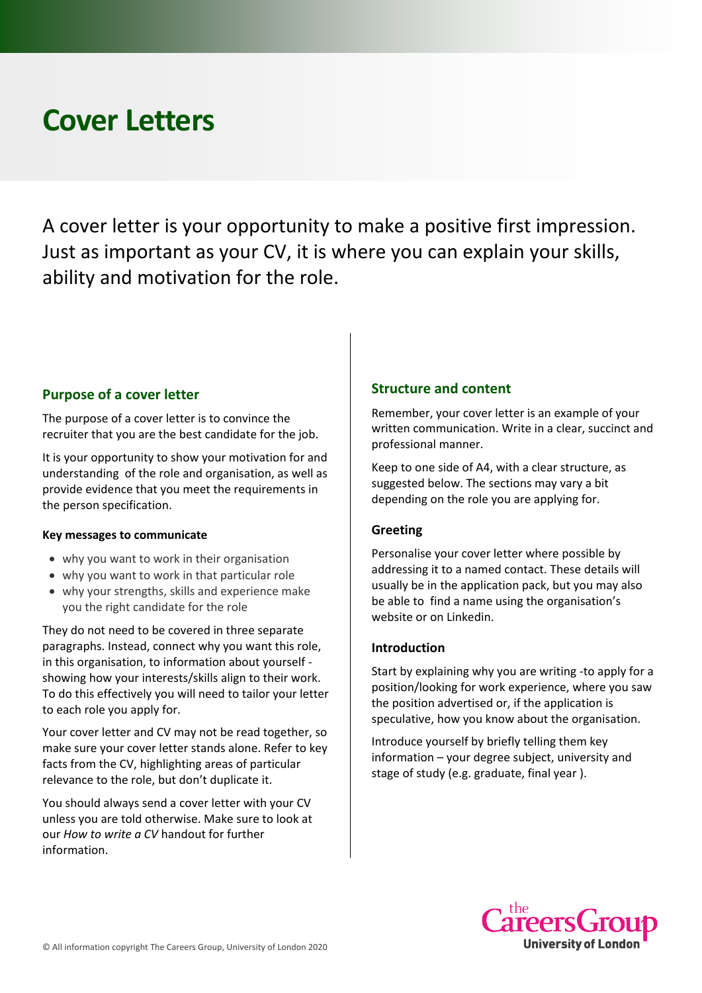# **Cover Letters**

A cover letter is your opportunity to make a positive first impression. Just as important as your CV, it is where you can explain your skills, ability and motivation for the role.

## **Purpose of a cover letter**

The purpose of a cover letter is to convince the recruiter that you are the best candidate for the job.

It is your opportunity to show your motivation for and understanding of the role and organisation, as well as provide evidence that you meet the requirements in the person specification.

#### **Key messages to communicate**

- why you want to work in their organisation
- why you want to work in that particular role
- why your strengths, skills and experience make you the right candidate for the role

They do not need to be covered in three separate paragraphs. Instead, connect why you want this role, in this organisation, to information about yourself showing how your interests/skills align to their work. To do this effectively you will need to tailor your letter to each role you apply for.

Your cover letter and CV may not be read together, so make sure your cover letter stands alone. Refer to key facts from the CV, highlighting areas of particular relevance to the role, but don't duplicate it.

You should always send a cover letter with your CV unless you are told otherwise. Make sure to look at our *How to write a CV* handout for further information.

## **Structure and content**

Remember, your cover letter is an example of your written communication. Write in a clear, succinct and professional manner.

Keep to one side of A4, with a clear structure, as suggested below. The sections may vary a bit depending on the role you are applying for.

#### **Greeting**

Personalise your cover letter where possible by addressing it to a named contact. These details will usually be in the application pack, but you may also be able to find a name using the organisation's website or on Linkedin.

#### **Introduction**

Start by explaining why you are writing -to apply for a position/looking for work experience, where you saw the position advertised or, if the application is speculative, how you know about the organisation.

Introduce yourself by briefly telling them key information – your degree subject, university and stage of study (e.g. graduate, final year ).

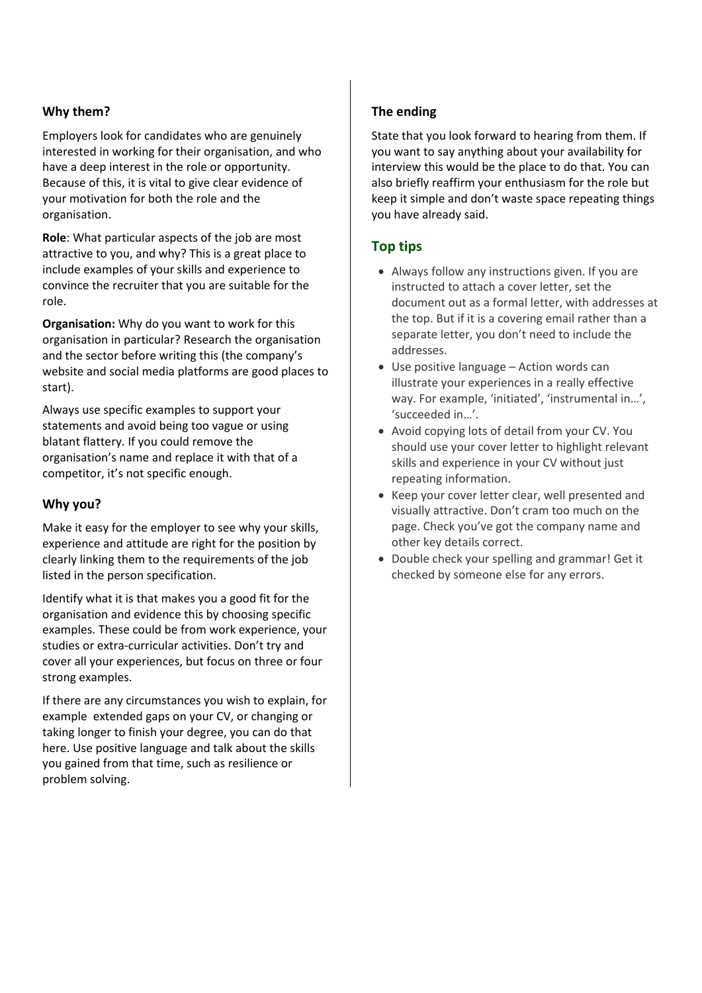## **Why them?**

Employers look for candidates who are genuinely interested in working for their organisation, and who have a deep interest in the role or opportunity. Because of this, it is vital to give clear evidence of your motivation for both the role and the organisation.

**Role**: What particular aspects of the job are most attractive to you, and why? This is a great place to include examples of your skills and experience to convince the recruiter that you are suitable for the role.

**Organisation:** Why do you want to work for this organisation in particular? Research the organisation and the sector before writing this (the company's website and social media platforms are good places to start).

Always use specific examples to support your statements and avoid being too vague or using blatant flattery. If you could remove the organisation's name and replace it with that of a competitor, it's not specific enough.

# **Why you?**

Make it easy for the employer to see why your skills, experience and attitude are right for the position by clearly linking them to the requirements of the job listed in the person specification.

Identify what it is that makes you a good fit for the organisation and evidence this by choosing specific examples. These could be from work experience, your studies or extra-curricular activities. Don't try and cover all your experiences, but focus on three or four strong examples.

If there are any circumstances you wish to explain, for example extended gaps on your CV, or changing or taking longer to finish your degree, you can do that here. Use positive language and talk about the skills you gained from that time, such as resilience or problem solving.

## **The ending**

State that you look forward to hearing from them. If you want to say anything about your availability for interview this would be the place to do that. You can also briefly reaffirm your enthusiasm for the role but keep it simple and don't waste space repeating things you have already said.

# **Top tips**

- Always follow any instructions given. If you are instructed to attach a cover letter, set the document out as a formal letter, with addresses at the top. But if it is a covering email rather than a separate letter, you don't need to include the addresses.
- Use positive language Action words can illustrate your experiences in a really effective way. For example, 'initiated', 'instrumental in...', 'succeeded in…'.
- Avoid copying lots of detail from your CV. You should use your cover letter to highlight relevant skills and experience in your CV without just repeating information.
- Keep your cover letter clear, well presented and visually attractive. Don't cram too much on the page. Check you've got the company name and other key details correct.
- Double check your spelling and grammar! Get it checked by someone else for any errors.